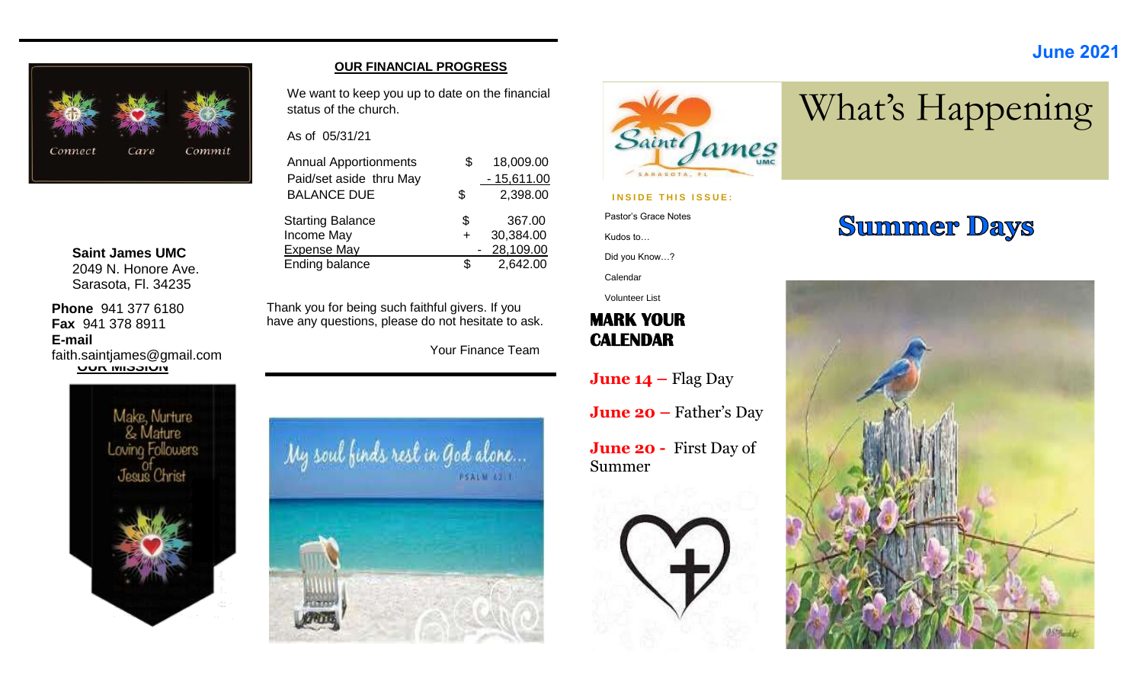### **June 2021**



**Saint James UMC** 2049 N. Honore Ave. Sarasota, Fl. 34235

**Phone** 941 377 6180 **Fax** 941 378 8911 **E-mail**

**UUR MISSION** faith.saintjames@gmail.com



#### **OUR FINANCIAL PROGRESS**

We want to keep you up to date on the financial status of the church.

#### As of 05/31/21

| <b>Annual Apportionments</b><br>Paid/set aside thru May | \$ | 18,009.00<br>$-15,611.00$ |
|---------------------------------------------------------|----|---------------------------|
| <b>BALANCE DUE</b>                                      | S  | 2,398.00                  |
| <b>Starting Balance</b><br>Income May                   | S  | 367.00<br>30,384.00       |
| <b>Expense May</b><br>Ending balance                    |    | 28,109.00<br>2,642.00     |

Thank you for being such faithful givers. If you have any questions, please do not hesitate to ask.

Your Finance Team





#### **INSIDE THIS ISSUE:**

Pastor's Grace Notes

Kudos to…

Did you Know…?

Calendar

Volunteer List

### **MARK YOUR CALENDAR**

**June 14 –** Flag Day

**June 20 –** Father's Day

**June 20 -** First Day of Summer



# **Summer Days**

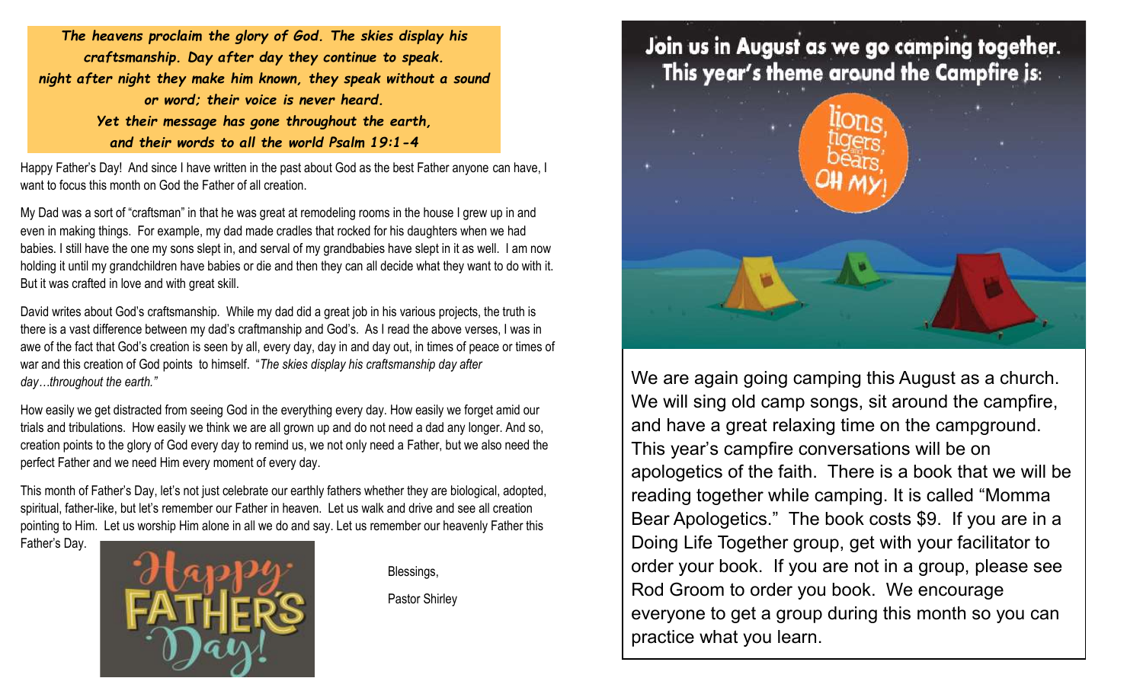*The heavens proclaim the glory of God. The skies display his craftsmanship. Day after day they continue to speak. night after night they make him known, they speak without a sound or word; their voice is never heard. Yet their message has gone throughout the earth, and their words to all the world Psalm 19:1-4*

Happy Father's Day! And since I have written in the past about God as the best Father anyone can have, I want to focus this month on God the Father of all creation.

My Dad was a sort of "craftsman" in that he was great at remodeling rooms in the house I grew up in and even in making things. For example, my dad made cradles that rocked for his daughters when we had babies. I still have the one my sons slept in, and serval of my grandbabies have slept in it as well. I am now holding it until my grandchildren have babies or die and then they can all decide what they want to do with it. But it was crafted in love and with great skill.

David writes about God's craftsmanship. While my dad did a great job in his various projects, the truth is there is a vast difference between my dad's craftmanship and God's. As I read the above verses, I was in awe of the fact that God's creation is seen by all, every day, day in and day out, in times of peace or times of war and this creation of God points to himself. "*The skies display his craftsmanship day after day…throughout the earth."*

How easily we get distracted from seeing God in the everything every day. How easily we forget amid our trials and tribulations. How easily we think we are all grown up and do not need a dad any longer. And so, creation points to the glory of God every day to remind us, we not only need a Father, but we also need the perfect Father and we need Him every moment of every day.

This month of Father's Day, let's not just celebrate our earthly fathers whether they are biological, adopted, spiritual, father-like, but let's remember our Father in heaven. Let us walk and drive and see all creation pointing to Him. Let us worship Him alone in all we do and say. Let us remember our heavenly Father this

Father's Day.



Blessings,

Pastor Shirley

## Join us in August as we go camping together. This year's theme around the Campfire is:



We are again going camping this August as a church. We will sing old camp songs, sit around the campfire, and have a great relaxing time on the campground. This year's campfire conversations will be on apologetics of the faith. There is a book that we will be reading together while camping. It is called "Momma Bear Apologetics." The book costs \$9. If you are in a Doing Life Together group, get with your facilitator to order your book. If you are not in a group, please see Rod Groom to order you book. We encourage everyone to get a group during this month so you can practice what you learn.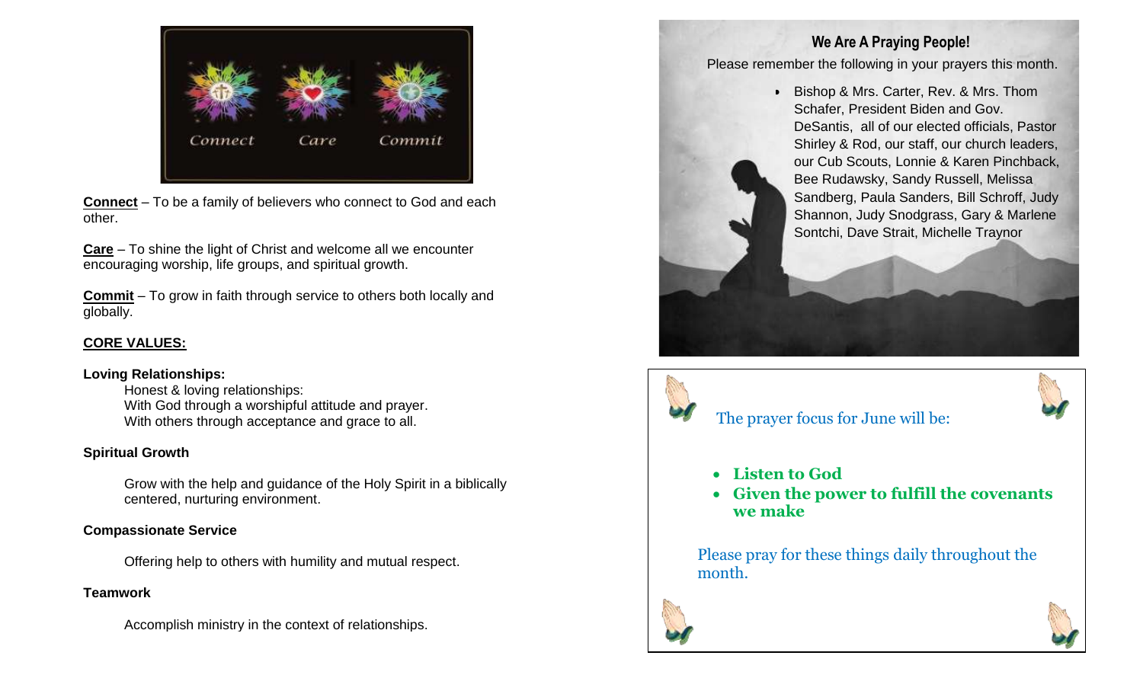

**Connect** – To be a family of believers who connect to God and each other.

**Care** – To shine the light of Christ and welcome all we encounter encouraging worship, life groups, and spiritual growth.

**Commit** – To grow in faith through service to others both locally and globally.

### **CORE VALUES:**

#### **Loving Relationships:**

Honest & loving relationships: With God through a worshipful attitude and prayer. With others through acceptance and grace to all.

#### **Spiritual Growth**

Grow with the help and guidance of the Holy Spirit in a biblically centered, nurturing environment.

### **Compassionate Service**

Offering help to others with humility and mutual respect.

### **Teamwork**

Accomplish ministry in the context of relationships.

### **We Are A Praying People!**

Please remember the following in your prayers this month.

• Bishop & Mrs. Carter, Rev. & Mrs. Thom Schafer, President Biden and Gov. DeSantis, all of our elected officials, Pastor Shirley & Rod, our staff, our church leaders, our Cub Scouts, Lonnie & Karen Pinchback, Bee Rudawsky, Sandy Russell, Melissa Sandberg, Paula Sanders, Bill Schroff, Judy Shannon, Judy Snodgrass, Gary & Marlene Sontchi, Dave Strait, Michelle Traynor





### The prayer focus for June will be:

- **Listen to God**
- **Given the power to fulfill the covenants we make**

Please pray for these things daily throughout the month.



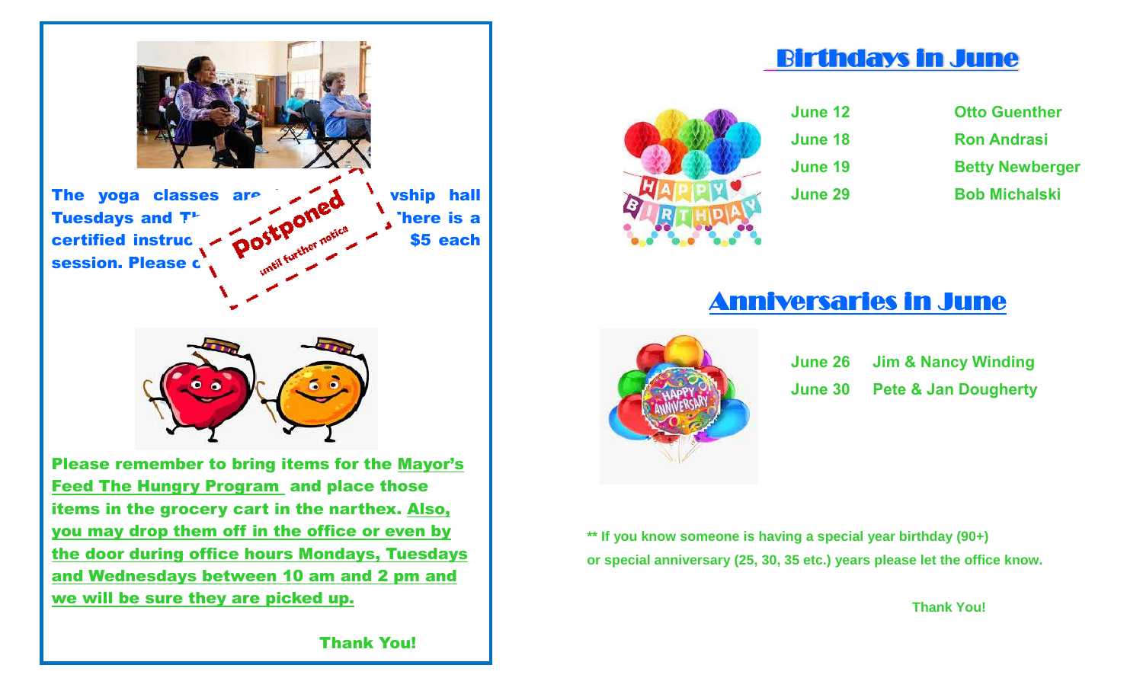

items in the grocery cart in the narthex. Also, you may drop them off in the office or even by the door during office hours Mondays, Tuesdays and Wednesdays between 10 am and 2 pm and we will be sure they are picked up.

## Birthdays in June



**June 12 June 18 June 19** 

**June 29** 

| <b>Otto Guenther</b>   |
|------------------------|
| <b>Ron Andrasi</b>     |
| <b>Betty Newberger</b> |
| <b>Bob Michalski</b>   |

# Anniversaries in June



|                | <b>June 26 Jim &amp; Nancy Winding</b> |
|----------------|----------------------------------------|
| <b>June 30</b> | <b>Pete &amp; Jan Dougherty</b>        |

**\*\* If you know someone is having a special year birthday (90+) or special anniversary (25, 30, 35 etc.) years please let the office know.** 

 **Thank You!** 

Thank You!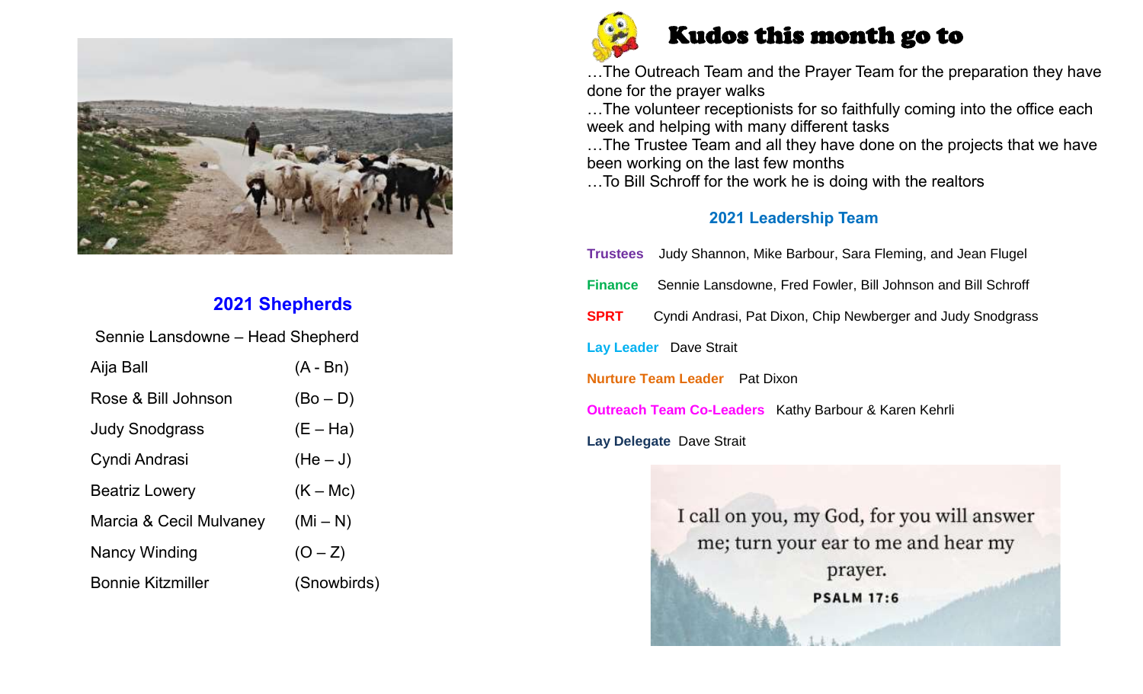

## **2021 Shepherds**

| Sennie Lansdowne - Head Shepherd |             |  |  |  |  |  |  |
|----------------------------------|-------------|--|--|--|--|--|--|
| Aija Ball                        | $(A - Bn)$  |  |  |  |  |  |  |
| Rose & Bill Johnson              | $(Bo - D)$  |  |  |  |  |  |  |
| <b>Judy Snodgrass</b>            | $(E - Ha)$  |  |  |  |  |  |  |
| Cyndi Andrasi                    | $(He-J)$    |  |  |  |  |  |  |
| <b>Beatriz Lowery</b>            | $(K - Mc)$  |  |  |  |  |  |  |
| Marcia & Cecil Mulvaney          | $(Mi - N)$  |  |  |  |  |  |  |
| Nancy Winding                    | $(O - Z)$   |  |  |  |  |  |  |
| <b>Bonnie Kitzmiller</b>         | (Snowbirds) |  |  |  |  |  |  |



## Kudos this month go to

…The Outreach Team and the Prayer Team for the preparation they have done for the prayer walks

…The volunteer receptionists for so faithfully coming into the office each week and helping with many different tasks

…The Trustee Team and all they have done on the projects that we have been working on the last few months

…To Bill Schroff for the work he is doing with the realtors

### **2021 Leadership Team**

|                                                                            | Trustees Judy Shannon, Mike Barbour, Sara Fleming, and Jean Flugel |  |  |  |  |  |
|----------------------------------------------------------------------------|--------------------------------------------------------------------|--|--|--|--|--|
| <b>Finance</b>                                                             | Sennie Lansdowne, Fred Fowler, Bill Johnson and Bill Schroff       |  |  |  |  |  |
| <b>SPRT</b><br>Cyndi Andrasi, Pat Dixon, Chip Newberger and Judy Snodgrass |                                                                    |  |  |  |  |  |
| <b>Lay Leader</b> Dave Strait                                              |                                                                    |  |  |  |  |  |
| <b>Nurture Team Leader</b> Pat Dixon                                       |                                                                    |  |  |  |  |  |
| <b>Outreach Team Co-Leaders</b> Kathy Barbour & Karen Kehrli               |                                                                    |  |  |  |  |  |
| Lay Delegate Dave Strait                                                   |                                                                    |  |  |  |  |  |

I call on you, my God, for you will answer me; turn your ear to me and hear my prayer. **PSALM 17:6**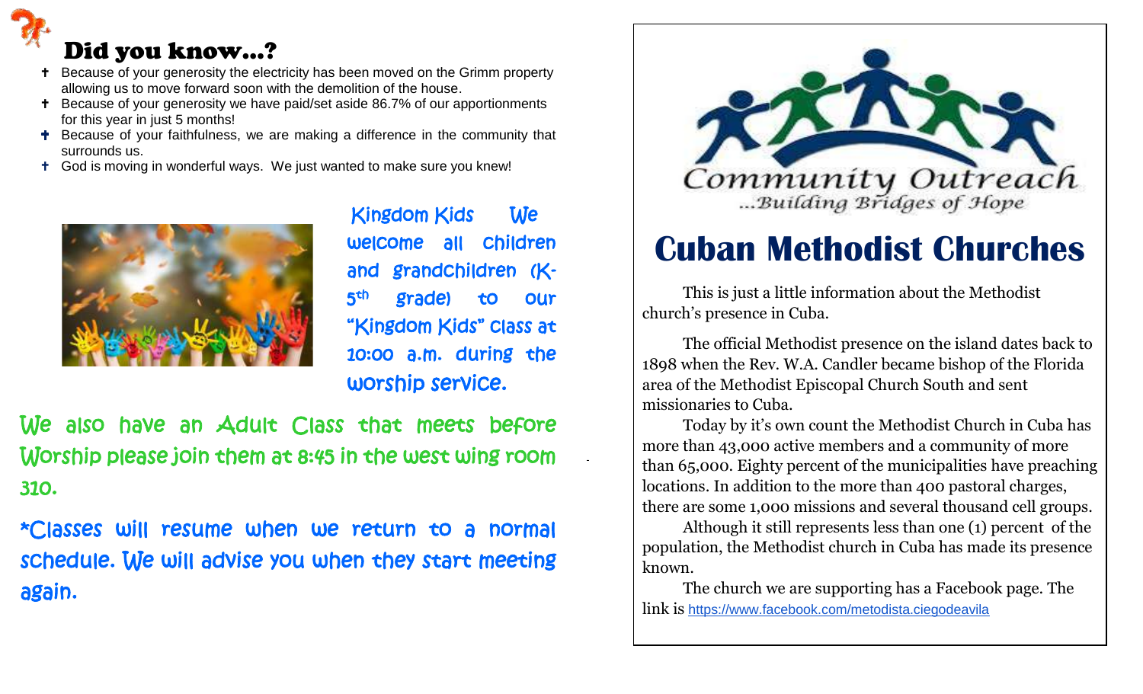# Did you know…?

- <sup>+</sup> Because of your generosity the electricity has been moved on the Grimm property allowing us to move forward soon with the demolition of the house.
- **+** Because of your generosity we have paid/set aside 86.7% of our apportionments for this year in just 5 months!
- **+** Because of your faithfulness, we are making a difference in the community that surrounds us.
- God is moving in wonderful ways. We just wanted to make sure you knew!



Kingdom Kids We welcome all children and grandchildren (K- $\mathbf{5}^{\mathsf{th}}$  grade) to our "Kingdom Kids" class at 10:00 a.m. during the worship service.

We also have an Adult Class that meets before Worship please join them at 8:45 in the west wing room 310.

\*Classes will resume when we return to a normal schedule. We will advise you when they start meeting again.



# **Cuban Methodist Churches**

This is just a little information about the Methodist church's presence in Cuba.

The official Methodist presence on the island dates back to 1898 when the Rev. W.A. Candler became bishop of the Florida area of the Methodist Episcopal Church South and sent missionaries to Cuba.

Today by it's own count the Methodist Church in Cuba has more than 43,000 active members and a community of more than 65,000. Eighty percent of the municipalities have preaching locations. In addition to the more than 400 pastoral charges, there are some 1,000 missions and several thousand cell groups.

Although it still represents less than one (1) percent of the population, the Methodist church in Cuba has made its presence known.

The church we are supporting has a Facebook page. The link is https://www.facebook.com/metodista.ciegodeavila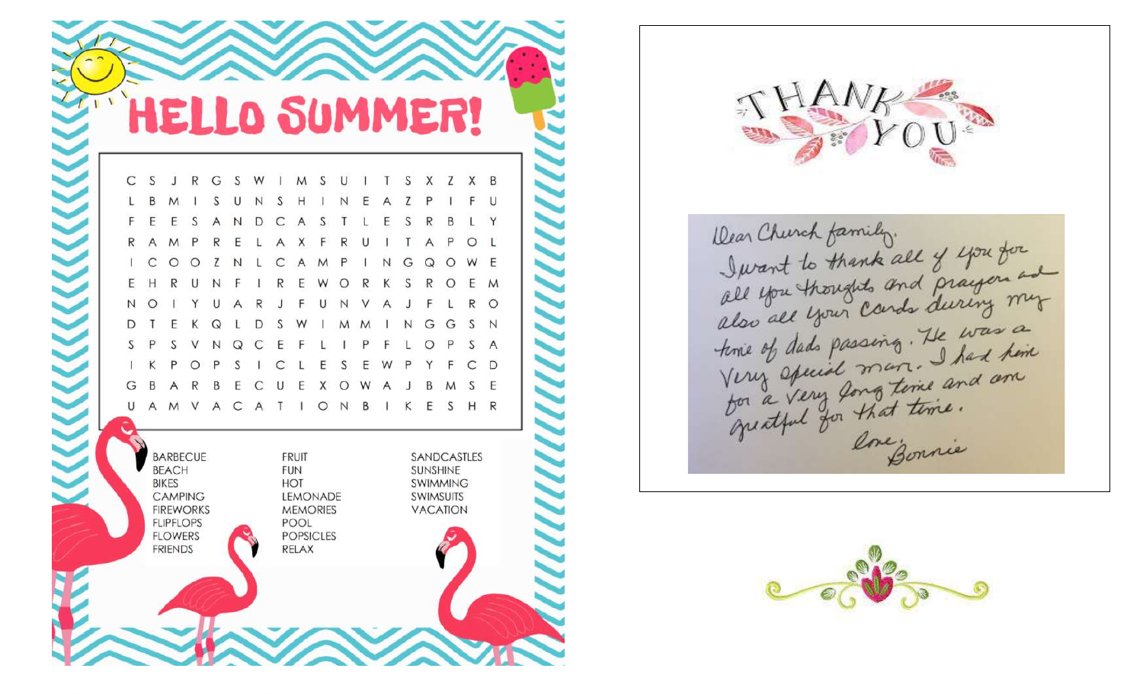



Dear Church family.<br>Jurant to thank all of you for<br>all you thoughts and prayers and<br>also all your Cards during my<br>time of dats passing. He was a<br>Very opened man. I had hime<br>yearly for that time.<br>gualful for that time. ene gonnie

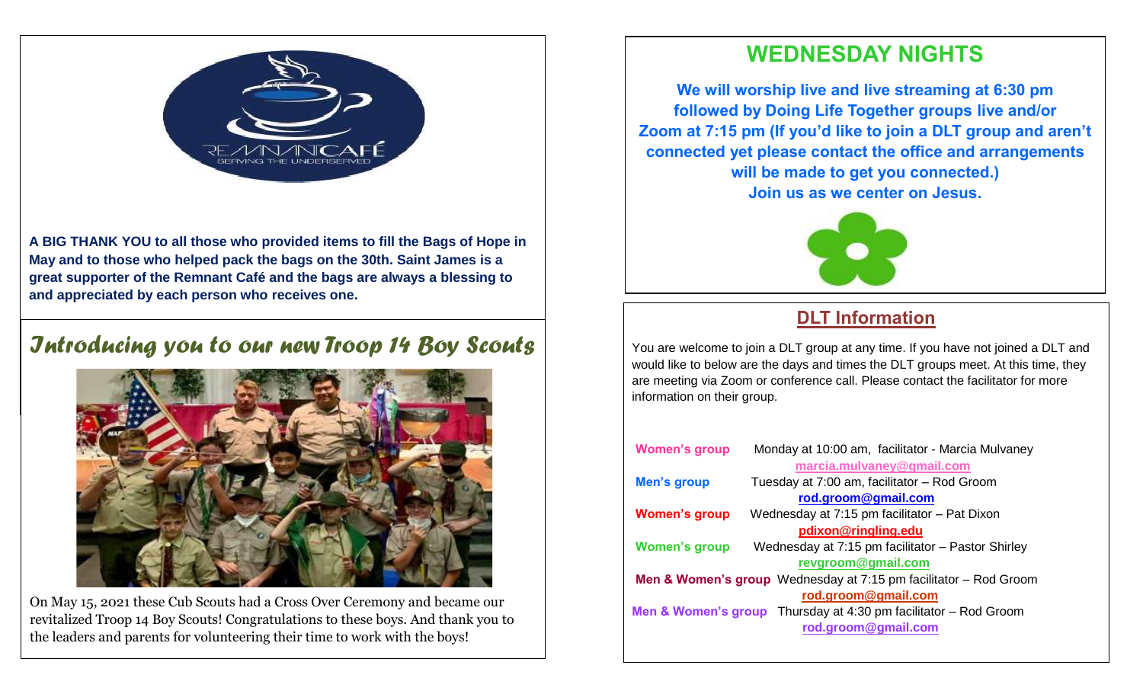

**A BIG THANK YOU to all those who provided items to fill the Bags of Hope in May and to those who helped pack the bags on the 30th. Saint James is a great supporter of the Remnant Café and the bags are always a blessing to and appreciated by each person who receives one.** 

## *Introducing you to our new Troop 14 Boy Scouts*



On May 15, 2021 these Cub Scouts had a Cross Over Ceremony and became our revitalized Troop 14 Boy Scouts! Congratulations to these boys. And thank you to the leaders and parents for volunteering their time to work with the boys!

## **WEDNESDAY NIGHTS**

**We will worship live and live streaming at 6:30 pm followed by Doing Life Together groups live and/or Zoom at 7:15 pm (If you'd like to join a DLT group and aren't connected yet please contact the office and arrangements will be made to get you connected.) Join us as we center on Jesus.**



## **DLT Information**

You are welcome to join a DLT group at any time. If you have not joined a DLT and would like to below are the days and times the DLT groups meet. At this time, they are meeting via Zoom or conference call. Please contact the facilitator for more information on their group.

| <b>Women's group</b> | Monday at 10:00 am, facilitator - Marcia Mulvaney                               |
|----------------------|---------------------------------------------------------------------------------|
|                      | marcia.mulvaney@gmail.com                                                       |
| <b>Men's group</b>   | Tuesday at 7:00 am, facilitator - Rod Groom                                     |
|                      | rod.groom@gmail.com                                                             |
| <b>Women's group</b> | Wednesday at 7:15 pm facilitator - Pat Dixon                                    |
|                      | pdixon@ringling.edu                                                             |
| <b>Women's group</b> | Wednesday at 7:15 pm facilitator - Pastor Shirley                               |
|                      | revgroom@gmail.com                                                              |
|                      | <b>Men &amp; Women's group</b> Wednesday at $7:15$ pm facilitator $-$ Rod Groom |
|                      | rod.groom@gmail.com                                                             |
|                      | Men & Women's group Thursday at 4:30 pm facilitator - Rod Groom                 |
|                      | rod.groom@gmail.com                                                             |
|                      |                                                                                 |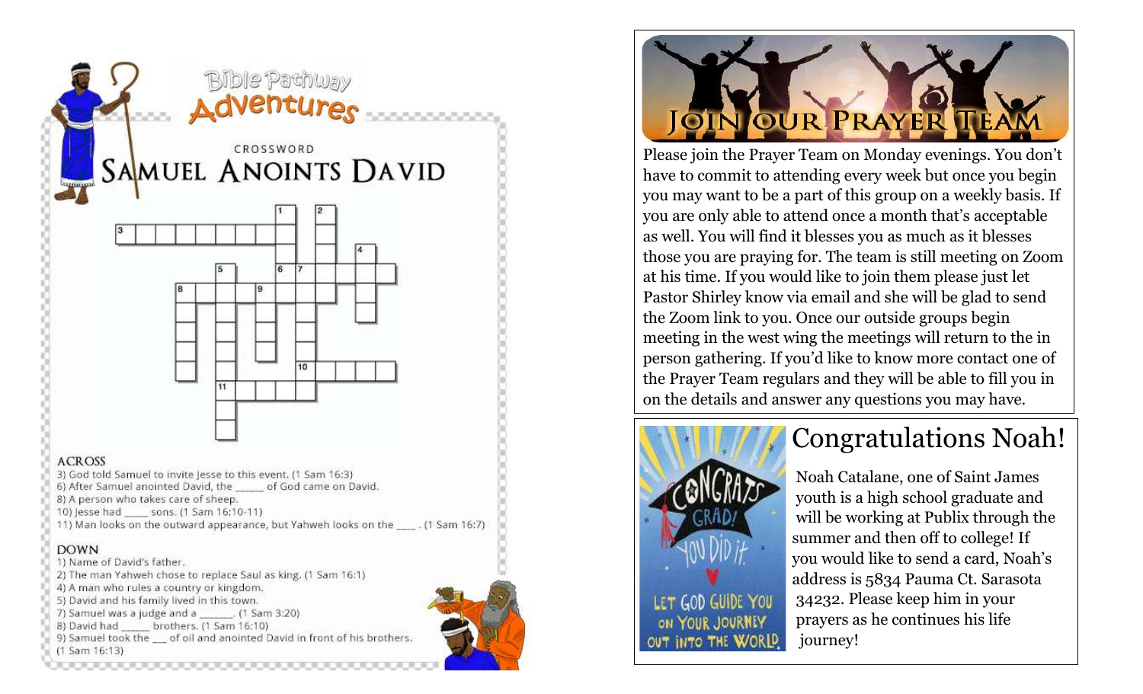



Please join the Prayer Team on Monday evenings. You don't have to commit to attending every week but once you begin you may want to be a part of this group on a weekly basis. If you are only able to attend once a month that's acceptable as well. You will find it blesses you as much as it blesses those you are praying for. The team is still meeting on Zoom at his time. If you would like to join them please just let Pastor Shirley know via email and she will be glad to send the Zoom link to you. Once our outside groups begin meeting in the west wing the meetings will return to the in person gathering. If you'd like to know more contact one of the Prayer Team regulars and they will be able to fill you in on the details and answer any questions you may have.



# Congratulations Noah!

 Noah Catalane, one of Saint James youth is a high school graduate and will be working at Publix through the summer and then off to college! If you would like to send a card, Noah's address is 5834 Pauma Ct. Sarasota LET GOD GUIDE YOU 34232. Please keep him in your prayers as he continues his life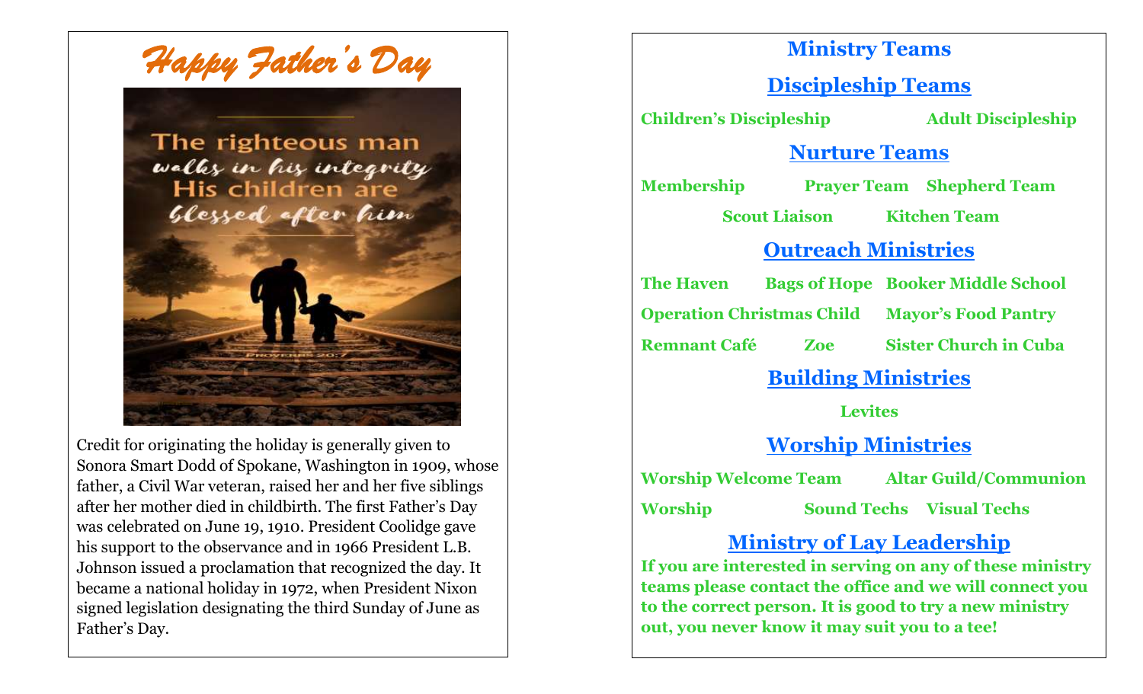*Happy Father's Day* 

# The righteous man walks in his integrity<br>His children are<br>Glessed after him



Credit for originating the holiday is generally given to Sonora Smart Dodd of Spokane, Washington in 1909, whose father, a Civil War veteran, raised her and her five siblings after her mother died in childbirth. The first Father's Day was celebrated on June 19, 1910. President Coolidge gave his support to the observance and in 1966 President L.B. Johnson issued a proclamation that recognized the day. It became a national holiday in 1972, when President Nixon signed legislation designating the third Sunday of June as Father's Day.

## **Ministry Teams**

### **Discipleship Teams**

**Children's Discipleship Adult Discipleship**

### **Nurture Teams**

**Membership Prayer Team Shepherd Team**

**Scout Liaison Kitchen Team**

## **Outreach Ministries**

**The Haven Bags of Hope Booker Middle School**

**Operation Christmas Child Mayor's Food Pantry Remnant Café Zoe Sister Church in Cuba**

## **Building Ministries**

**Levites**

## **Worship Ministries**

**Worship Welcome Team Altar Guild/Communion**

**Worship Sound Techs Visual Techs**

## **Ministry of Lay Leadership**

**If you are interested in serving on any of these ministry teams please contact the office and we will connect you to the correct person. It is good to try a new ministry out, you never know it may suit you to a tee!**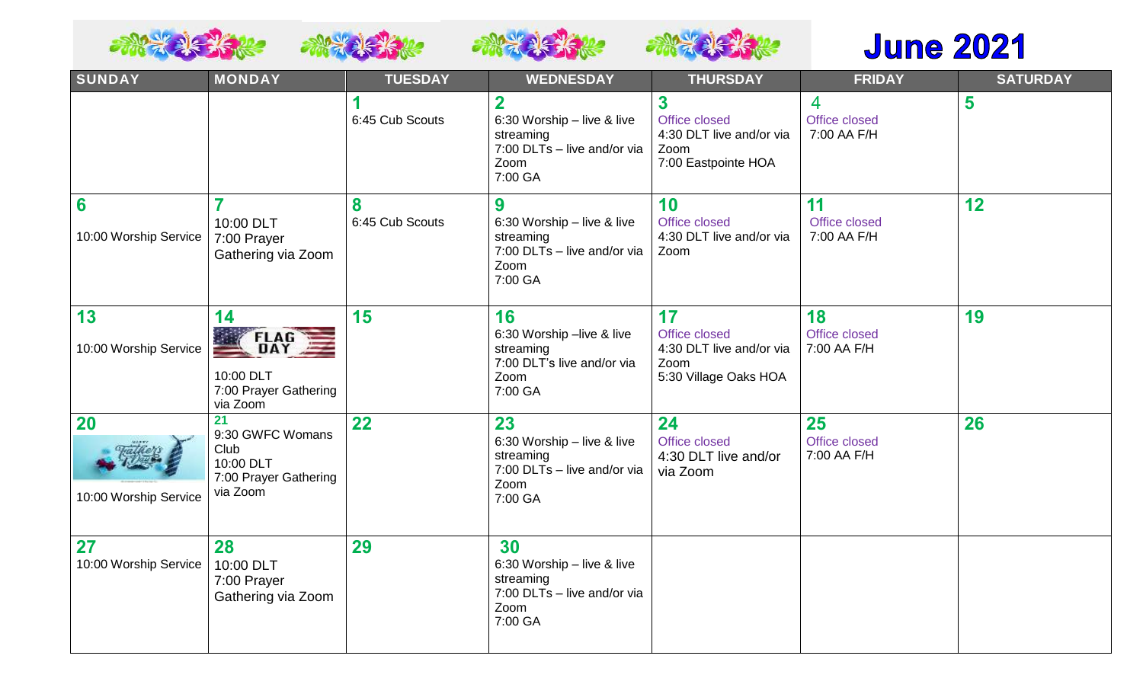





# **June 2021**

| <b>SUNDAY</b>                      | <b>MONDAY</b>                                                                    | <b>TUESDAY</b>       | <b>WEDNESDAY</b>                                                                                                     | <b>THURSDAY</b>                                                                  | <b>FRIDAY</b>                                  | <b>SATURDAY</b> |
|------------------------------------|----------------------------------------------------------------------------------|----------------------|----------------------------------------------------------------------------------------------------------------------|----------------------------------------------------------------------------------|------------------------------------------------|-----------------|
|                                    |                                                                                  | 1<br>6:45 Cub Scouts | $\overline{\mathbf{2}}$<br>6:30 Worship - live & live<br>streaming<br>7:00 DLTs - live and/or via<br>Zoom<br>7:00 GA | 3<br>Office closed<br>4:30 DLT live and/or via<br>Zoom<br>7:00 Eastpointe HOA    | $\overline{4}$<br>Office closed<br>7:00 AA F/H | 5               |
| 6<br>10:00 Worship Service         | 10:00 DLT<br>7:00 Prayer<br>Gathering via Zoom                                   | 8<br>6:45 Cub Scouts | 9<br>6:30 Worship - live & live<br>streaming<br>7:00 DLTs - live and/or via<br>Zoom<br>7:00 GA                       | 10<br>Office closed<br>4:30 DLT live and/or via<br>Zoom                          | 11<br>Office closed<br>7:00 AA F/H             | 12              |
| 13<br>10:00 Worship Service        | 14<br><b>FLAG</b><br>10:00 DLT<br>7:00 Prayer Gathering<br>via Zoom              | 15                   | 16<br>6:30 Worship -live & live<br>streaming<br>7:00 DLT's live and/or via<br>Zoom<br>7:00 GA                        | 17<br>Office closed<br>4:30 DLT live and/or via<br>Zoom<br>5:30 Village Oaks HOA | 18<br>Office closed<br>7:00 AA F/H             | 19              |
| <b>20</b><br>10:00 Worship Service | 21<br>9:30 GWFC Womans<br>Club<br>10:00 DLT<br>7:00 Prayer Gathering<br>via Zoom | 22                   | 23<br>6:30 Worship - live & live<br>streaming<br>7:00 DLTs - live and/or via<br>Zoom<br>7:00 GA                      | 24<br>Office closed<br>4:30 DLT live and/or<br>via Zoom                          | 25<br>Office closed<br>7:00 AA F/H             | 26              |
| 27<br>10:00 Worship Service        | 28<br>10:00 DLT<br>7:00 Prayer<br>Gathering via Zoom                             | 29                   | 30<br>6:30 Worship - live & live<br>streaming<br>7:00 DLTs - live and/or via<br>Zoom<br>7:00 GA                      |                                                                                  |                                                |                 |